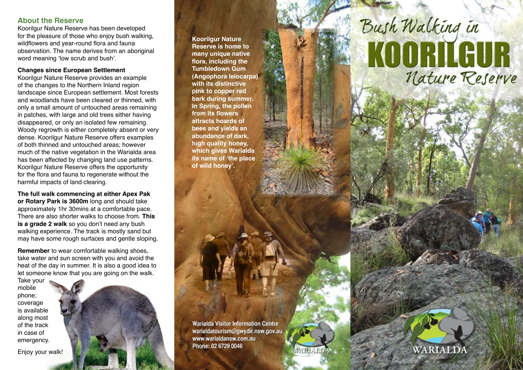## **About the Reserve**

Koorilgur Nature Reserve has been developed for the pleasure of those who enjoy bush walking, wildflowers and year-round flora and fauna observation. The name derives from an aboriginal word meaning 'low scrub and bush'.

## **Changes since European Settlement**

Koorilgur Nature Reserve provides an example of the changes to the Northern Inland region landscape since European settlement. Most forests and woodlands have been cleared or thinned, with only a small amount of untouched areas remaining in patches, with large and old trees either having disappeared, or only an isolated few remaining. Woody regrowth is either completely absent or very dense. Koorilgur Nature Reserve offers examples of both thinned and untouched areas; however much of the native vegetation in the Warialda area has been affected by changing land use patterns. Koorilgur Nature Reserve offers the opportunity for the flora and fauna to regenerate without the harmful impacts of land clearing.

**The full walk commencing at either Apex Pak or Rotary Park is 3600m** long and should take approximately 1hr 30mins at a comfortable pace. There are also shorter walks to choose from. **This is a grade 2 walk** so you don't need any bush walking experience. The track is mostly sand but may have some rough surfaces and gentle sloping.

**Remember** to wear comfortable walking shoes, take water and sun screen with you and avoid the heat of the day in summer. It is also a good idea to let someone know that you are going on the walk.

Take your mobile phone; coverage is available along most of the track in case of emergency.

Enjoy your walk!

**Koorilgur Nature Reserve is home to many unique native flora, including the Tumbledown Gum (Angophora leiocarpa) with its distinctive pink to copper red bark during summer. In Spring, the pollen from its flowers attracts hoards of bees and yields an abundance of dark, high quality honey, which gives Warialda its name of 'the place of wild honey'.**

**Warialda Visitor Information Centre** warialdatourism@gwydir.nsw.gov.au www.warialdansw.com.au Phone: 02 6729 0046



WARIALDA